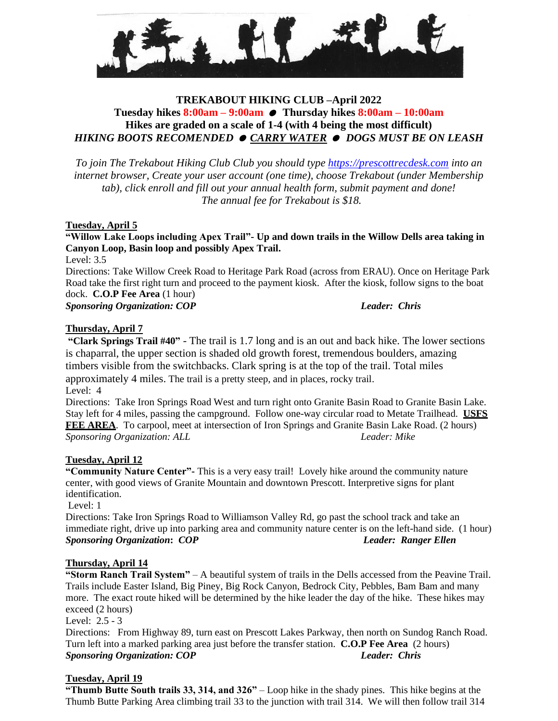

## **TREKABOUT HIKING CLUB –April 2022 Tuesday hikes 8:00am – 9:00am Thursday hikes 8:00am – 10:00am Hikes are graded on a scale of 1-4 (with 4 being the most difficult)** *HIKING BOOTS RECOMENDED CARRY WATER DOGS MUST BE ON LEASH*

*To join The Trekabout Hiking Club Club you should type [https://prescottrecdesk.com](https://prescottrecdesk.com/) into an internet browser, Create your user account (one time), choose Trekabout (under Membership tab), click enroll and fill out your annual health form, submit payment and done! The annual fee for Trekabout is \$18.*

#### **Tuesday, April 5**

**"Willow Lake Loops including Apex Trail"- Up and down trails in the Willow Dells area taking in Canyon Loop, Basin loop and possibly Apex Trail.**

Level: 3.5

Directions: Take Willow Creek Road to Heritage Park Road (across from ERAU). Once on Heritage Park Road take the first right turn and proceed to the payment kiosk. After the kiosk, follow signs to the boat dock. **C.O.P Fee Area** (1 hour) *Sponsoring Organization: COP**Leader: Chris*

### **Thursday, April 7**

**"Clark Springs Trail #40"** - The trail is 1.7 long and is an out and back hike. The lower sections is chaparral, the upper section is shaded old growth forest, tremendous boulders, amazing timbers visible from the switchbacks. Clark spring is at the top of the trail. Total miles approximately 4 miles. The trail is a pretty steep, and in places, rocky trail. Level: 4

Directions: Take Iron Springs Road West and turn right onto Granite Basin Road to Granite Basin Lake. Stay left for 4 miles, passing the campground. Follow one-way circular road to Metate Trailhead. **USFS FEE AREA**. To carpool, meet at intersection of Iron Springs and Granite Basin Lake Road. (2 hours) *Sponsoring Organization: ALL Leader: Mike*

#### **Tuesday, April 12**

**"Community Nature Center"-** This is a very easy trail! Lovely hike around the community nature center, with good views of Granite Mountain and downtown Prescott. Interpretive signs for plant identification.

Level: 1

Directions: Take Iron Springs Road to Williamson Valley Rd, go past the school track and take an immediate right, drive up into parking area and community nature center is on the left-hand side. (1 hour) *Sponsoring Organization***:** *COP**Leader: Ranger Ellen*

### **Thursday, April 14**

**"Storm Ranch Trail System"** – A beautiful system of trails in the Dells accessed from the Peavine Trail. Trails include Easter Island, Big Piney, Big Rock Canyon, Bedrock City, Pebbles, Bam Bam and many more. The exact route hiked will be determined by the hike leader the day of the hike. These hikes may exceed (2 hours)

Level: 2.5 - 3

Directions: From Highway 89, turn east on Prescott Lakes Parkway, then north on Sundog Ranch Road. Turn left into a marked parking area just before the transfer station. **C.O.P Fee Area** (2 hours) *Sponsoring Organization: COP**Leader: Chris*

## **Tuesday, April 19**

**"Thumb Butte South trails 33, 314, and 326"** – Loop hike in the shady pines. This hike begins at the Thumb Butte Parking Area climbing trail 33 to the junction with trail 314. We will then follow trail 314